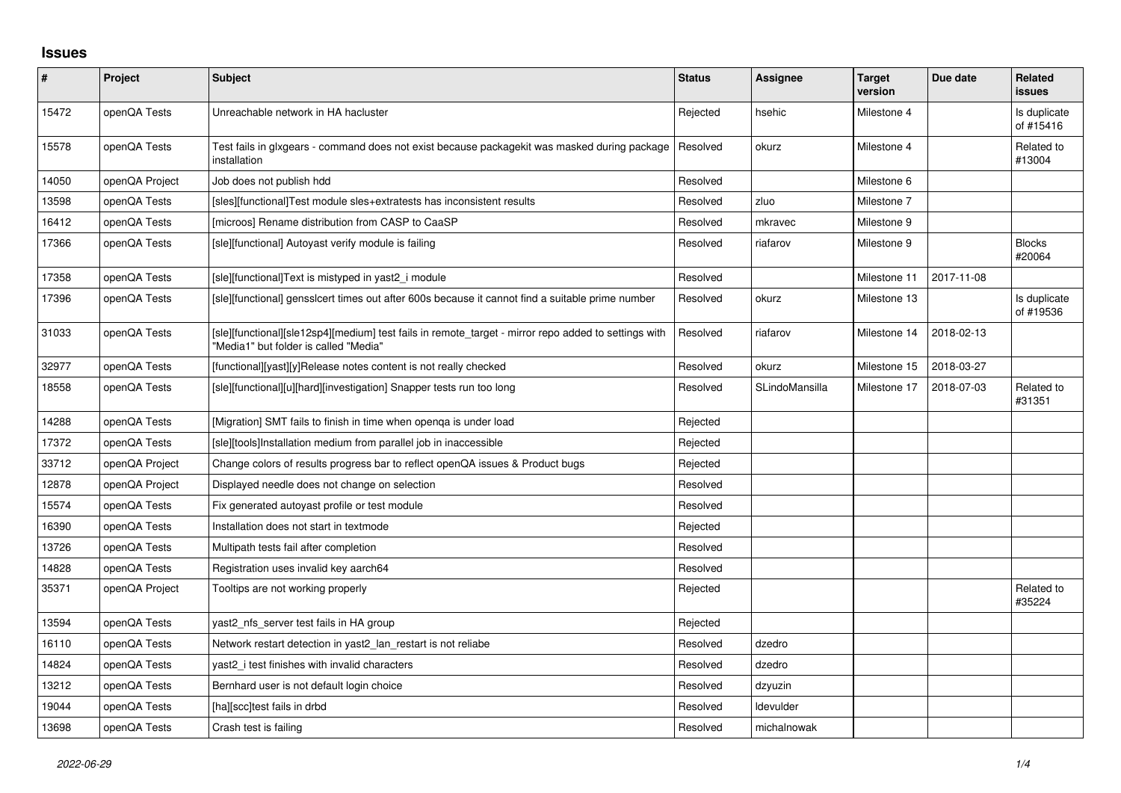## **Issues**

| $\sharp$ | <b>Project</b> | <b>Subject</b>                                                                                                                                | <b>Status</b> | <b>Assignee</b> | <b>Target</b><br>version | Due date   | Related<br>issues         |
|----------|----------------|-----------------------------------------------------------------------------------------------------------------------------------------------|---------------|-----------------|--------------------------|------------|---------------------------|
| 15472    | openQA Tests   | Unreachable network in HA hacluster                                                                                                           | Rejected      | hsehic          | Milestone 4              |            | Is duplicate<br>of #15416 |
| 15578    | openQA Tests   | Test fails in glxgears - command does not exist because packagekit was masked during package<br>installation                                  | Resolved      | okurz           | Milestone 4              |            | Related to<br>#13004      |
| 14050    | openQA Project | Job does not publish hdd                                                                                                                      | Resolved      |                 | Milestone 6              |            |                           |
| 13598    | openQA Tests   | [sles][functional]Test module sles+extratests has inconsistent results                                                                        | Resolved      | zluo            | Milestone 7              |            |                           |
| 16412    | openQA Tests   | [microos] Rename distribution from CASP to CaaSP                                                                                              | Resolved      | mkravec         | Milestone 9              |            |                           |
| 17366    | openQA Tests   | [sle][functional] Autoyast verify module is failing                                                                                           | Resolved      | riafarov        | Milestone 9              |            | <b>Blocks</b><br>#20064   |
| 17358    | openQA Tests   | [sle][functional]Text is mistyped in yast2_i module                                                                                           | Resolved      |                 | Milestone 11             | 2017-11-08 |                           |
| 17396    | openQA Tests   | [sle][functional] gensslcert times out after 600s because it cannot find a suitable prime number                                              | Resolved      | okurz           | Milestone 13             |            | Is duplicate<br>of #19536 |
| 31033    | openQA Tests   | [sle][functional][sle12sp4][medium] test fails in remote_target - mirror repo added to settings with<br>"Media1" but folder is called "Media" | Resolved      | riafarov        | Milestone 14             | 2018-02-13 |                           |
| 32977    | openQA Tests   | [functional][yast][y]Release notes content is not really checked                                                                              | Resolved      | okurz           | Milestone 15             | 2018-03-27 |                           |
| 18558    | openQA Tests   | [sle][functional][u][hard][investigation] Snapper tests run too long                                                                          | Resolved      | SLindoMansilla  | Milestone 17             | 2018-07-03 | Related to<br>#31351      |
| 14288    | openQA Tests   | [Migration] SMT fails to finish in time when openga is under load                                                                             | Rejected      |                 |                          |            |                           |
| 17372    | openQA Tests   | [sle][tools]Installation medium from parallel job in inaccessible                                                                             | Rejected      |                 |                          |            |                           |
| 33712    | openQA Project | Change colors of results progress bar to reflect openQA issues & Product bugs                                                                 | Rejected      |                 |                          |            |                           |
| 12878    | openQA Project | Displayed needle does not change on selection                                                                                                 | Resolved      |                 |                          |            |                           |
| 15574    | openQA Tests   | Fix generated autoyast profile or test module                                                                                                 | Resolved      |                 |                          |            |                           |
| 16390    | openQA Tests   | Installation does not start in textmode                                                                                                       | Rejected      |                 |                          |            |                           |
| 13726    | openQA Tests   | Multipath tests fail after completion                                                                                                         | Resolved      |                 |                          |            |                           |
| 14828    | openQA Tests   | Registration uses invalid key aarch64                                                                                                         | Resolved      |                 |                          |            |                           |
| 35371    | openQA Project | Tooltips are not working properly                                                                                                             | Rejected      |                 |                          |            | Related to<br>#35224      |
| 13594    | openQA Tests   | yast2 nfs server test fails in HA group                                                                                                       | Rejected      |                 |                          |            |                           |
| 16110    | openQA Tests   | Network restart detection in yast2 lan restart is not reliabe                                                                                 | Resolved      | dzedro          |                          |            |                           |
| 14824    | openQA Tests   | yast2 i test finishes with invalid characters                                                                                                 | Resolved      | dzedro          |                          |            |                           |
| 13212    | openQA Tests   | Bernhard user is not default login choice                                                                                                     | Resolved      | dzyuzin         |                          |            |                           |
| 19044    | openQA Tests   | [ha][scc]test fails in drbd                                                                                                                   | Resolved      | Idevulder       |                          |            |                           |
| 13698    | openQA Tests   | Crash test is failing                                                                                                                         | Resolved      | michalnowak     |                          |            |                           |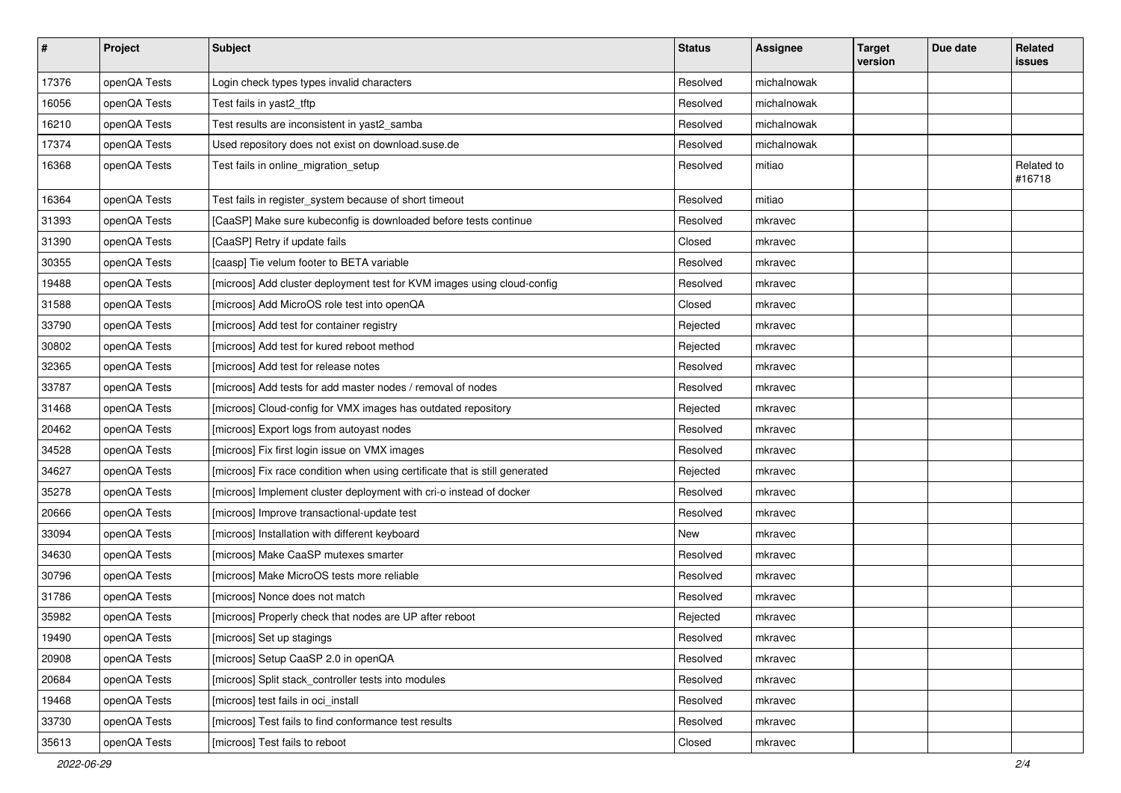| $\vert$ # | Project      | <b>Subject</b>                                                              | <b>Status</b> | <b>Assignee</b> | <b>Target</b><br>version | Due date | Related<br>issues    |
|-----------|--------------|-----------------------------------------------------------------------------|---------------|-----------------|--------------------------|----------|----------------------|
| 17376     | openQA Tests | Login check types types invalid characters                                  | Resolved      | michalnowak     |                          |          |                      |
| 16056     | openQA Tests | Test fails in yast2_tftp                                                    | Resolved      | michalnowak     |                          |          |                      |
| 16210     | openQA Tests | Test results are inconsistent in yast2_samba                                | Resolved      | michalnowak     |                          |          |                      |
| 17374     | openQA Tests | Used repository does not exist on download.suse.de                          | Resolved      | michalnowak     |                          |          |                      |
| 16368     | openQA Tests | Test fails in online_migration_setup                                        | Resolved      | mitiao          |                          |          | Related to<br>#16718 |
| 16364     | openQA Tests | Test fails in register_system because of short timeout                      | Resolved      | mitiao          |                          |          |                      |
| 31393     | openQA Tests | [CaaSP] Make sure kubeconfig is downloaded before tests continue            | Resolved      | mkravec         |                          |          |                      |
| 31390     | openQA Tests | [CaaSP] Retry if update fails                                               | Closed        | mkravec         |                          |          |                      |
| 30355     | openQA Tests | [caasp] Tie velum footer to BETA variable                                   | Resolved      | mkravec         |                          |          |                      |
| 19488     | openQA Tests | [microos] Add cluster deployment test for KVM images using cloud-config     | Resolved      | mkravec         |                          |          |                      |
| 31588     | openQA Tests | [microos] Add MicroOS role test into openQA                                 | Closed        | mkravec         |                          |          |                      |
| 33790     | openQA Tests | [microos] Add test for container registry                                   | Rejected      | mkravec         |                          |          |                      |
| 30802     | openQA Tests | [microos] Add test for kured reboot method                                  | Rejected      | mkravec         |                          |          |                      |
| 32365     | openQA Tests | [microos] Add test for release notes                                        | Resolved      | mkravec         |                          |          |                      |
| 33787     | openQA Tests | [microos] Add tests for add master nodes / removal of nodes                 | Resolved      | mkravec         |                          |          |                      |
| 31468     | openQA Tests | [microos] Cloud-config for VMX images has outdated repository               | Rejected      | mkravec         |                          |          |                      |
| 20462     | openQA Tests | [microos] Export logs from autoyast nodes                                   | Resolved      | mkravec         |                          |          |                      |
| 34528     | openQA Tests | [microos] Fix first login issue on VMX images                               | Resolved      | mkravec         |                          |          |                      |
| 34627     | openQA Tests | [microos] Fix race condition when using certificate that is still generated | Rejected      | mkravec         |                          |          |                      |
| 35278     | openQA Tests | [microos] Implement cluster deployment with cri-o instead of docker         | Resolved      | mkravec         |                          |          |                      |
| 20666     | openQA Tests | [microos] Improve transactional-update test                                 | Resolved      | mkravec         |                          |          |                      |
| 33094     | openQA Tests | [microos] Installation with different keyboard                              | New           | mkravec         |                          |          |                      |
| 34630     | openQA Tests | [microos] Make CaaSP mutexes smarter                                        | Resolved      | mkravec         |                          |          |                      |
| 30796     | openQA Tests | [microos] Make MicroOS tests more reliable                                  | Resolved      | mkravec         |                          |          |                      |
| 31786     | openQA Tests | [microos] Nonce does not match                                              | Resolved      | mkravec         |                          |          |                      |
| 35982     | openQA Tests | [microos] Properly check that nodes are UP after reboot                     | Rejected      | mkravec         |                          |          |                      |
| 19490     | openQA Tests | [microos] Set up stagings                                                   | Resolved      | mkravec         |                          |          |                      |
| 20908     | openQA Tests | [microos] Setup CaaSP 2.0 in openQA                                         | Resolved      | mkravec         |                          |          |                      |
| 20684     | openQA Tests | [microos] Split stack_controller tests into modules                         | Resolved      | mkravec         |                          |          |                      |
| 19468     | openQA Tests | [microos] test fails in oci_install                                         | Resolved      | mkravec         |                          |          |                      |
| 33730     | openQA Tests | [microos] Test fails to find conformance test results                       | Resolved      | mkravec         |                          |          |                      |
| 35613     | openQA Tests | [microos] Test fails to reboot                                              | Closed        | mkravec         |                          |          |                      |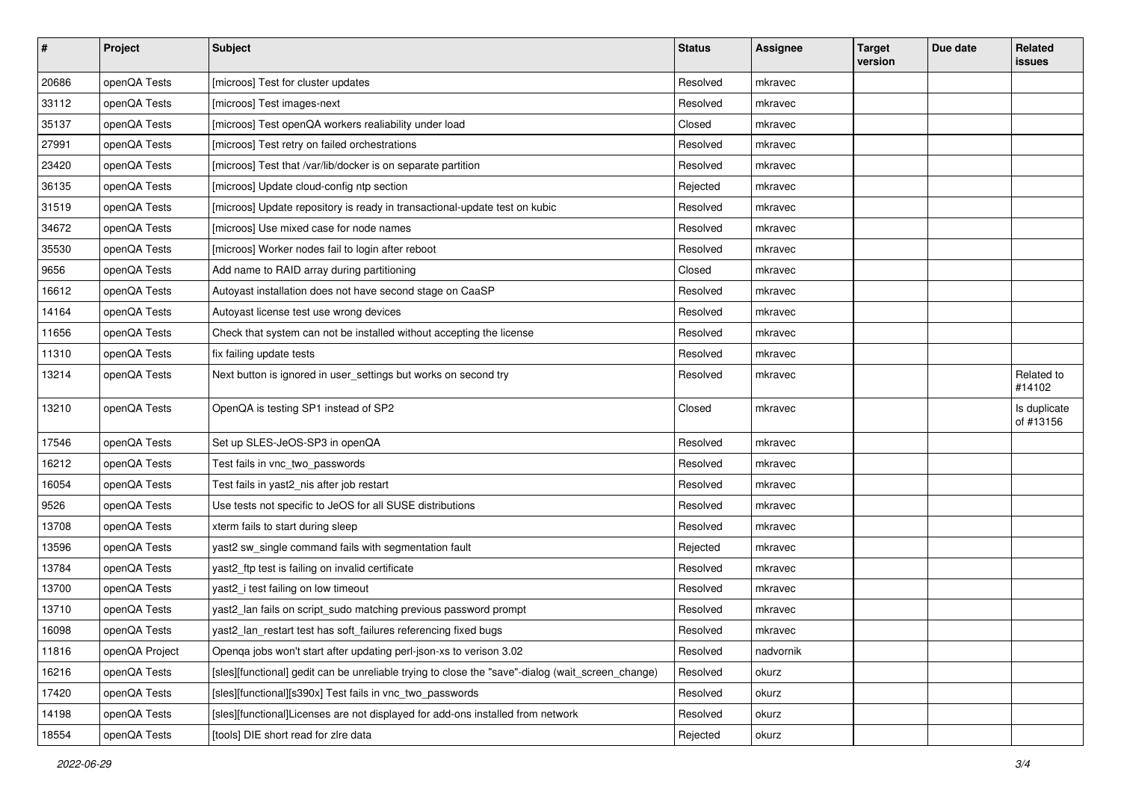| $\pmb{\#}$ | Project        | <b>Subject</b>                                                                                    | <b>Status</b> | <b>Assignee</b> | <b>Target</b><br>version | Due date | Related<br>issues         |
|------------|----------------|---------------------------------------------------------------------------------------------------|---------------|-----------------|--------------------------|----------|---------------------------|
| 20686      | openQA Tests   | [microos] Test for cluster updates                                                                | Resolved      | mkravec         |                          |          |                           |
| 33112      | openQA Tests   | [microos] Test images-next                                                                        | Resolved      | mkravec         |                          |          |                           |
| 35137      | openQA Tests   | [microos] Test openQA workers realiability under load                                             | Closed        | mkravec         |                          |          |                           |
| 27991      | openQA Tests   | [microos] Test retry on failed orchestrations                                                     | Resolved      | mkravec         |                          |          |                           |
| 23420      | openQA Tests   | [microos] Test that /var/lib/docker is on separate partition                                      | Resolved      | mkravec         |                          |          |                           |
| 36135      | openQA Tests   | [microos] Update cloud-config ntp section                                                         | Rejected      | mkravec         |                          |          |                           |
| 31519      | openQA Tests   | [microos] Update repository is ready in transactional-update test on kubic                        | Resolved      | mkravec         |                          |          |                           |
| 34672      | openQA Tests   | [microos] Use mixed case for node names                                                           | Resolved      | mkravec         |                          |          |                           |
| 35530      | openQA Tests   | [microos] Worker nodes fail to login after reboot                                                 | Resolved      | mkravec         |                          |          |                           |
| 9656       | openQA Tests   | Add name to RAID array during partitioning                                                        | Closed        | mkravec         |                          |          |                           |
| 16612      | openQA Tests   | Autoyast installation does not have second stage on CaaSP                                         | Resolved      | mkravec         |                          |          |                           |
| 14164      | openQA Tests   | Autoyast license test use wrong devices                                                           | Resolved      | mkravec         |                          |          |                           |
| 11656      | openQA Tests   | Check that system can not be installed without accepting the license                              | Resolved      | mkravec         |                          |          |                           |
| 11310      | openQA Tests   | fix failing update tests                                                                          | Resolved      | mkravec         |                          |          |                           |
| 13214      | openQA Tests   | Next button is ignored in user_settings but works on second try                                   | Resolved      | mkravec         |                          |          | Related to<br>#14102      |
| 13210      | openQA Tests   | OpenQA is testing SP1 instead of SP2                                                              | Closed        | mkravec         |                          |          | Is duplicate<br>of #13156 |
| 17546      | openQA Tests   | Set up SLES-JeOS-SP3 in openQA                                                                    | Resolved      | mkravec         |                          |          |                           |
| 16212      | openQA Tests   | Test fails in vnc_two_passwords                                                                   | Resolved      | mkravec         |                          |          |                           |
| 16054      | openQA Tests   | Test fails in yast2_nis after job restart                                                         | Resolved      | mkravec         |                          |          |                           |
| 9526       | openQA Tests   | Use tests not specific to JeOS for all SUSE distributions                                         | Resolved      | mkravec         |                          |          |                           |
| 13708      | openQA Tests   | xterm fails to start during sleep                                                                 | Resolved      | mkravec         |                          |          |                           |
| 13596      | openQA Tests   | yast2 sw_single command fails with segmentation fault                                             | Rejected      | mkravec         |                          |          |                           |
| 13784      | openQA Tests   | yast2_ftp test is failing on invalid certificate                                                  | Resolved      | mkravec         |                          |          |                           |
| 13700      | openQA Tests   | yast2_i test failing on low timeout                                                               | Resolved      | mkravec         |                          |          |                           |
| 13710      | openQA Tests   | yast2_lan fails on script_sudo matching previous password prompt                                  | Resolved      | mkravec         |                          |          |                           |
| 16098      | openQA Tests   | yast2_lan_restart test has soft_failures referencing fixed bugs                                   | Resolved      | mkravec         |                          |          |                           |
| 11816      | openQA Project | Openqa jobs won't start after updating perl-json-xs to verison 3.02                               | Resolved      | nadvornik       |                          |          |                           |
| 16216      | openQA Tests   | [sles][functional] gedit can be unreliable trying to close the "save"-dialog (wait_screen_change) | Resolved      | okurz           |                          |          |                           |
| 17420      | openQA Tests   | [sles][functional][s390x] Test fails in vnc two passwords                                         | Resolved      | okurz           |                          |          |                           |
| 14198      | openQA Tests   | [sles][functional]Licenses are not displayed for add-ons installed from network                   | Resolved      | okurz           |                          |          |                           |
| 18554      | openQA Tests   | [tools] DIE short read for zire data                                                              | Rejected      | okurz           |                          |          |                           |